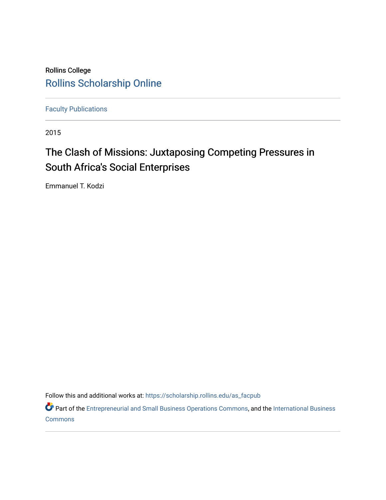## Rollins College [Rollins Scholarship Online](https://scholarship.rollins.edu/)

[Faculty Publications](https://scholarship.rollins.edu/as_facpub)

2015

# The Clash of Missions: Juxtaposing Competing Pressures in South Africa's Social Enterprises

Emmanuel T. Kodzi

Follow this and additional works at: [https://scholarship.rollins.edu/as\\_facpub](https://scholarship.rollins.edu/as_facpub?utm_source=scholarship.rollins.edu%2Fas_facpub%2F256&utm_medium=PDF&utm_campaign=PDFCoverPages) 

**T** Part of the [Entrepreneurial and Small Business Operations Commons,](https://network.bepress.com/hgg/discipline/630?utm_source=scholarship.rollins.edu%2Fas_facpub%2F256&utm_medium=PDF&utm_campaign=PDFCoverPages) and the [International Business](https://network.bepress.com/hgg/discipline/634?utm_source=scholarship.rollins.edu%2Fas_facpub%2F256&utm_medium=PDF&utm_campaign=PDFCoverPages) [Commons](https://network.bepress.com/hgg/discipline/634?utm_source=scholarship.rollins.edu%2Fas_facpub%2F256&utm_medium=PDF&utm_campaign=PDFCoverPages)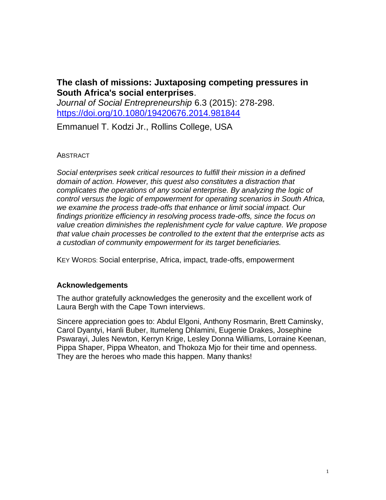## **The clash of missions: Juxtaposing competing pressures in South Africa's social enterprises**.

*Journal of Social Entrepreneurship* 6.3 (2015): 278-298. <https://doi.org/10.1080/19420676.2014.981844>

Emmanuel T. Kodzi Jr., Rollins College, USA

#### **ABSTRACT**

*Social enterprises seek critical resources to fulfill their mission in a defined domain of action. However, this quest also constitutes a distraction that complicates the operations of any social enterprise. By analyzing the logic of control versus the logic of empowerment for operating scenarios in South Africa, we examine the process trade-offs that enhance or limit social impact. Our findings prioritize efficiency in resolving process trade-offs, since the focus on value creation diminishes the replenishment cycle for value capture. We propose that value chain processes be controlled to the extent that the enterprise acts as a custodian of community empowerment for its target beneficiaries.* 

KEY WORDS: Social enterprise, Africa, impact, trade-offs, empowerment

### **Acknowledgements**

The author gratefully acknowledges the generosity and the excellent work of Laura Bergh with the Cape Town interviews.

Sincere appreciation goes to: Abdul Elgoni, Anthony Rosmarin, Brett Caminsky, Carol Dyantyi, Hanli Buber, Itumeleng Dhlamini, Eugenie Drakes, Josephine Pswarayi, Jules Newton, Kerryn Krige, Lesley Donna Williams, Lorraine Keenan, Pippa Shaper, Pippa Wheaton, and Thokoza Mjo for their time and openness. They are the heroes who made this happen. Many thanks!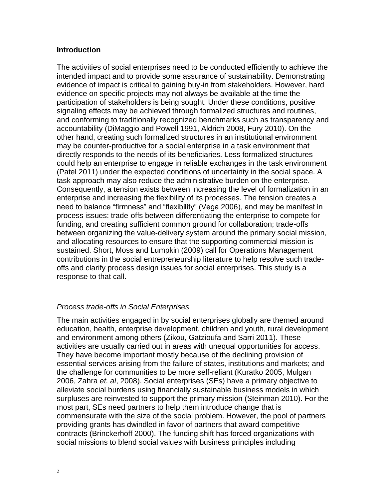#### **Introduction**

The activities of social enterprises need to be conducted efficiently to achieve the intended impact and to provide some assurance of sustainability. Demonstrating evidence of impact is critical to gaining buy-in from stakeholders. However, hard evidence on specific projects may not always be available at the time the participation of stakeholders is being sought. Under these conditions, positive signaling effects may be achieved through formalized structures and routines, and conforming to traditionally recognized benchmarks such as transparency and accountability (DiMaggio and Powell 1991, Aldrich 2008, Fury 2010). On the other hand, creating such formalized structures in an institutional environment may be counter-productive for a social enterprise in a task environment that directly responds to the needs of its beneficiaries. Less formalized structures could help an enterprise to engage in reliable exchanges in the task environment (Patel 2011) under the expected conditions of uncertainty in the social space. A task approach may also reduce the administrative burden on the enterprise. Consequently, a tension exists between increasing the level of formalization in an enterprise and increasing the flexibility of its processes. The tension creates a need to balance "firmness" and "flexibility" (Vega 2006), and may be manifest in process issues: trade-offs between differentiating the enterprise to compete for funding, and creating sufficient common ground for collaboration; trade-offs between organizing the value-delivery system around the primary social mission, and allocating resources to ensure that the supporting commercial mission is sustained. Short, Moss and Lumpkin (2009) call for Operations Management contributions in the social entrepreneurship literature to help resolve such tradeoffs and clarify process design issues for social enterprises. This study is a response to that call.

#### *Process trade-offs in Social Enterprises*

The main activities engaged in by social enterprises globally are themed around education, health, enterprise development, children and youth, rural development and environment among others (Zikou, Gatzioufa and Sarri 2011). These activities are usually carried out in areas with unequal opportunities for access. They have become important mostly because of the declining provision of essential services arising from the failure of states, institutions and markets; and the challenge for communities to be more self-reliant (Kuratko 2005, Mulgan 2006, Zahra *et. al*, 2008). Social enterprises (SEs) have a primary objective to alleviate social burdens using financially sustainable business models in which surpluses are reinvested to support the primary mission (Steinman 2010). For the most part, SEs need partners to help them introduce change that is commensurate with the size of the social problem. However, the pool of partners providing grants has dwindled in favor of partners that award competitive contracts (Brinckerhoff 2000). The funding shift has forced organizations with social missions to blend social values with business principles including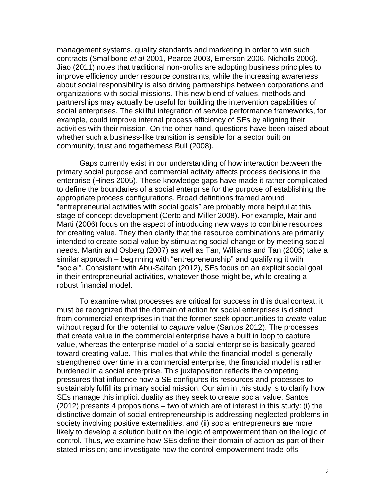management systems, quality standards and marketing in order to win such contracts (Smallbone *et al* 2001, Pearce 2003, Emerson 2006, Nicholls 2006). Jiao (2011) notes that traditional non-profits are adopting business principles to improve efficiency under resource constraints, while the increasing awareness about social responsibility is also driving partnerships between corporations and organizations with social missions. This new blend of values, methods and partnerships may actually be useful for building the intervention capabilities of social enterprises. The skillful integration of service performance frameworks, for example, could improve internal process efficiency of SEs by aligning their activities with their mission. On the other hand, questions have been raised about whether such a business-like transition is sensible for a sector built on community, trust and togetherness Bull (2008).

Gaps currently exist in our understanding of how interaction between the primary social purpose and commercial activity affects process decisions in the enterprise (Hines 2005). These knowledge gaps have made it rather complicated to define the boundaries of a social enterprise for the purpose of establishing the appropriate process configurations. Broad definitions framed around "entrepreneurial activities with social goals" are probably more helpful at this stage of concept development (Certo and Miller 2008). For example, Mair and Marti (2006) focus on the aspect of introducing new ways to combine resources for creating value. They then clarify that the resource combinations are primarily intended to create social value by stimulating social change or by meeting social needs. Martin and Osberg (2007) as well as Tan, Williams and Tan (2005) take a similar approach – beginning with "entrepreneurship" and qualifying it with "social". Consistent with Abu-Saifan (2012), SEs focus on an explicit social goal in their entrepreneurial activities, whatever those might be, while creating a robust financial model.

To examine what processes are critical for success in this dual context, it must be recognized that the domain of action for social enterprises is distinct from commercial enterprises in that the former seek opportunities to *create* value without regard for the potential to *capture* value (Santos 2012). The processes that create value in the commercial enterprise have a built in loop to capture value, whereas the enterprise model of a social enterprise is basically geared toward creating value. This implies that while the financial model is generally strengthened over time in a commercial enterprise, the financial model is rather burdened in a social enterprise. This juxtaposition reflects the competing pressures that influence how a SE configures its resources and processes to sustainably fulfill its primary social mission. Our aim in this study is to clarify how SEs manage this implicit duality as they seek to create social value. Santos (2012) presents 4 propositions – two of which are of interest in this study: (i) the distinctive domain of social entrepreneurship is addressing neglected problems in society involving positive externalities, and (ii) social entrepreneurs are more likely to develop a solution built on the logic of empowerment than on the logic of control. Thus, we examine how SEs define their domain of action as part of their stated mission; and investigate how the control-empowerment trade-offs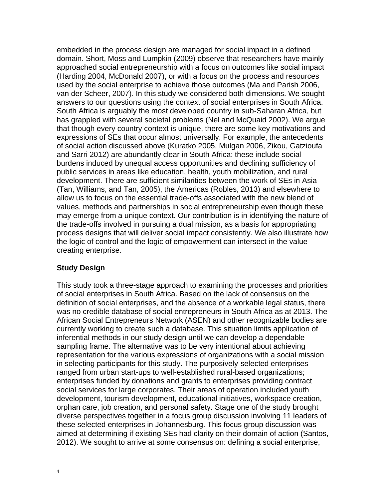embedded in the process design are managed for social impact in a defined domain. Short, Moss and Lumpkin (2009) observe that researchers have mainly approached social entrepreneurship with a focus on outcomes like social impact (Harding 2004, McDonald 2007), or with a focus on the process and resources used by the social enterprise to achieve those outcomes (Ma and Parish 2006, van der Scheer, 2007). In this study we considered both dimensions. We sought answers to our questions using the context of social enterprises in South Africa. South Africa is arguably the most developed country in sub-Saharan Africa, but has grappled with several societal problems (Nel and McQuaid 2002). We argue that though every country context is unique, there are some key motivations and expressions of SEs that occur almost universally. For example, the antecedents of social action discussed above (Kuratko 2005, Mulgan 2006, Zikou, Gatzioufa and Sarri 2012) are abundantly clear in South Africa: these include social burdens induced by unequal access opportunities and declining sufficiency of public services in areas like education, health, youth mobilization, and rural development. There are sufficient similarities between the work of SEs in Asia (Tan, Williams, and Tan, 2005), the Americas (Robles, 2013) and elsewhere to allow us to focus on the essential trade-offs associated with the new blend of values, methods and partnerships in social entrepreneurship even though these may emerge from a unique context. Our contribution is in identifying the nature of the trade-offs involved in pursuing a dual mission, as a basis for appropriating process designs that will deliver social impact consistently. We also illustrate how the logic of control and the logic of empowerment can intersect in the valuecreating enterprise.

#### **Study Design**

This study took a three-stage approach to examining the processes and priorities of social enterprises in South Africa. Based on the lack of consensus on the definition of social enterprises, and the absence of a workable legal status, there was no credible database of social entrepreneurs in South Africa as at 2013. The African Social Entrepreneurs Network (ASEN) and other recognizable bodies are currently working to create such a database. This situation limits application of inferential methods in our study design until we can develop a dependable sampling frame. The alternative was to be very intentional about achieving representation for the various expressions of organizations with a social mission in selecting participants for this study. The purposively-selected enterprises ranged from urban start-ups to well-established rural-based organizations; enterprises funded by donations and grants to enterprises providing contract social services for large corporates. Their areas of operation included youth development, tourism development, educational initiatives, workspace creation, orphan care, job creation, and personal safety. Stage one of the study brought diverse perspectives together in a focus group discussion involving 11 leaders of these selected enterprises in Johannesburg. This focus group discussion was aimed at determining if existing SEs had clarity on their domain of action (Santos, 2012). We sought to arrive at some consensus on: defining a social enterprise,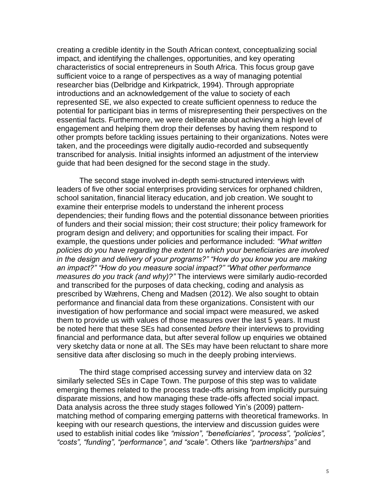creating a credible identity in the South African context, conceptualizing social impact, and identifying the challenges, opportunities, and key operating characteristics of social entrepreneurs in South Africa. This focus group gave sufficient voice to a range of perspectives as a way of managing potential researcher bias (Delbridge and Kirkpatrick, 1994). Through appropriate introductions and an acknowledgement of the value to society of each represented SE, we also expected to create sufficient openness to reduce the potential for participant bias in terms of misrepresenting their perspectives on the essential facts. Furthermore, we were deliberate about achieving a high level of engagement and helping them drop their defenses by having them respond to other prompts before tackling issues pertaining to their organizations. Notes were taken, and the proceedings were digitally audio-recorded and subsequently transcribed for analysis. Initial insights informed an adjustment of the interview guide that had been designed for the second stage in the study.

The second stage involved in-depth semi-structured interviews with leaders of five other social enterprises providing services for orphaned children, school sanitation, financial literacy education, and job creation. We sought to examine their enterprise models to understand the inherent process dependencies; their funding flows and the potential dissonance between priorities of funders and their social mission; their cost structure; their policy framework for program design and delivery; and opportunities for scaling their impact. For example, the questions under policies and performance included: *"What written policies do you have regarding the extent to which your beneficiaries are involved in the design and delivery of your programs?" "How do you know you are making an impact?" "How do you measure social impact?" "What other performance measures do you track (and why)?"* The interviews were similarly audio-recorded and transcribed for the purposes of data checking, coding and analysis as prescribed by Wæhrens, Cheng and Madsen (2012). We also sought to obtain performance and financial data from these organizations. Consistent with our investigation of how performance and social impact were measured, we asked them to provide us with values of those measures over the last 5 years. It must be noted here that these SEs had consented *before* their interviews to providing financial and performance data, but after several follow up enquiries we obtained very sketchy data or none at all. The SEs may have been reluctant to share more sensitive data after disclosing so much in the deeply probing interviews.

The third stage comprised accessing survey and interview data on 32 similarly selected SEs in Cape Town. The purpose of this step was to validate emerging themes related to the process trade-offs arising from implicitly pursuing disparate missions, and how managing these trade-offs affected social impact. Data analysis across the three study stages followed Yin's (2009) patternmatching method of comparing emerging patterns with theoretical frameworks. In keeping with our research questions, the interview and discussion guides were used to establish initial codes like *"mission", "beneficiaries", "process", "policies", "costs", "funding", "performance", and "scale"*. Others like *"partnerships"* and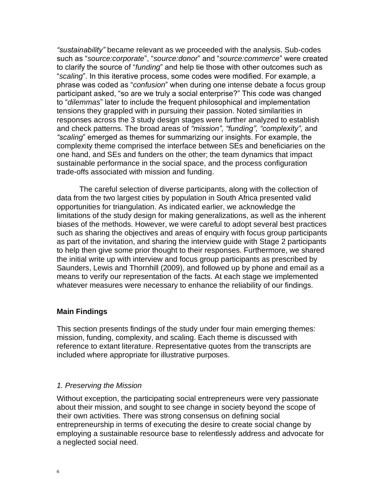*"sustainability"* became relevant as we proceeded with the analysis. Sub-codes such as "*source:corporate*", "*source:donor*" and "*source:commerce*" were created to clarify the source of "*funding*" and help tie those with other outcomes such as "*scaling*". In this iterative process, some codes were modified. For example, a phrase was coded as "*confusion*" when during one intense debate a focus group participant asked, "so are we truly a social enterprise?" This code was changed to "*dilemmas*" later to include the frequent philosophical and implementation tensions they grappled with in pursuing their passion. Noted similarities in responses across the 3 study design stages were further analyzed to establish and check patterns. The broad areas of *"mission", "funding", "complexity",* and *"scaling*" emerged as themes for summarizing our insights. For example, the complexity theme comprised the interface between SEs and beneficiaries on the one hand, and SEs and funders on the other; the team dynamics that impact sustainable performance in the social space, and the process configuration trade-offs associated with mission and funding.

The careful selection of diverse participants, along with the collection of data from the two largest cities by population in South Africa presented valid opportunities for triangulation. As indicated earlier, we acknowledge the limitations of the study design for making generalizations, as well as the inherent biases of the methods. However, we were careful to adopt several best practices such as sharing the objectives and areas of enquiry with focus group participants as part of the invitation, and sharing the interview guide with Stage 2 participants to help then give some prior thought to their responses. Furthermore, we shared the initial write up with interview and focus group participants as prescribed by Saunders, Lewis and Thornhill (2009), and followed up by phone and email as a means to verify our representation of the facts. At each stage we implemented whatever measures were necessary to enhance the reliability of our findings.

#### **Main Findings**

This section presents findings of the study under four main emerging themes: mission, funding, complexity, and scaling. Each theme is discussed with reference to extant literature. Representative quotes from the transcripts are included where appropriate for illustrative purposes.

#### *1. Preserving the Mission*

Without exception, the participating social entrepreneurs were very passionate about their mission, and sought to see change in society beyond the scope of their own activities. There was strong consensus on defining social entrepreneurship in terms of executing the desire to create social change by employing a sustainable resource base to relentlessly address and advocate for a neglected social need.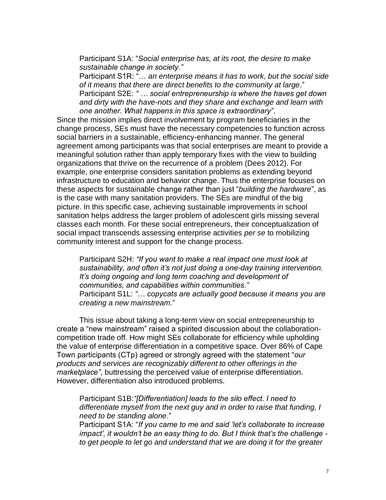Participant S1A: "*Social enterprise has, at its root, the desire to make sustainable change in society."*

Participant S1R: "… *an enterprise means it has to work, but the social side of it means that there are direct benefits to the community at large*." Participant S2E: *" … social entrepreneurship is where the haves get down and dirty with the have-nots and they share and exchange and learn with one another. What happens in this space is extraordinary"*.

Since the mission implies direct involvement by program beneficiaries in the change process, SEs must have the necessary competencies to function across social barriers in a sustainable, efficiency-enhancing manner. The general agreement among participants was that social enterprises are meant to provide a meaningful solution rather than apply temporary fixes with the view to building organizations that thrive on the recurrence of a problem (Dees 2012). For example, one enterprise considers sanitation problems as extending beyond infrastructure to education and behavior change. Thus the enterprise focuses on these aspects for sustainable change rather than just "*building the hardware*", as is the case with many sanitation providers. The SEs are mindful of the big picture. In this specific case, achieving sustainable improvements in school sanitation helps address the larger problem of adolescent girls missing several classes each month. For these social entrepreneurs, their conceptualization of social impact transcends assessing enterprise activities *per se* to mobilizing community interest and support for the change process.

Participant S2H: *"If you want to make a real impact one must look at sustainability, and often it's not just doing a one-day training intervention. It's doing ongoing and long term coaching and development of communities, and capabilities within communities."* Participant S1L: *"… copycats are actually good because it means you are creating a new mainstream.*"

This issue about taking a long-term view on social entrepreneurship to create a "new mainstream" raised a spirited discussion about the collaborationcompetition trade off. How might SEs collaborate for efficiency while upholding the value of enterprise differentiation in a competitive space. Over 86% of Cape Town participants (CTp) agreed or strongly agreed with the statement "*our products and services are recognizably different to other offerings in the marketplace"*, buttressing the perceived value of enterprise differentiation. However, differentiation also introduced problems.

Participant S1B:*"[Differentiation] leads to the silo effect. I need to differentiate myself from the next guy and in order to raise that funding, I need to be standing alone*."

Participant S1A: "*If you came to me and said 'let's collaborate to increase impact', it wouldn't be an easy thing to do. But I think that's the challenge to get people to let go and understand that we are doing it for the greater*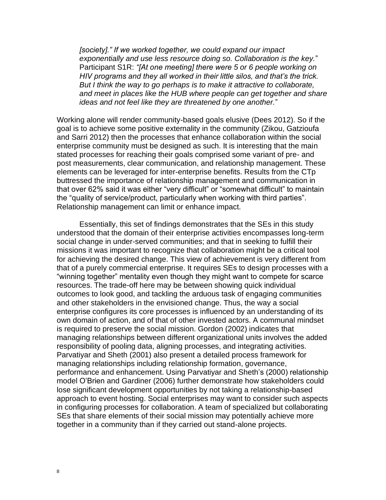*[society]." If we worked together, we could expand our impact exponentially and use less resource doing so. Collaboration is the key.*" Participant S1R: *"[At one meeting] there were 5 or 6 people working on HIV programs and they all worked in their little silos, and that's the trick. But I think the way to go perhaps is to make it attractive to collaborate, and meet in places like the HUB where people can get together and share ideas and not feel like they are threatened by one another.*"

Working alone will render community-based goals elusive (Dees 2012). So if the goal is to achieve some positive externality in the community (Zikou, Gatzioufa and Sarri 2012) then the processes that enhance collaboration within the social enterprise community must be designed as such. It is interesting that the main stated processes for reaching their goals comprised some variant of pre- and post measurements, clear communication, and relationship management. These elements can be leveraged for inter-enterprise benefits. Results from the CTp buttressed the importance of relationship management and communication in that over 62% said it was either "very difficult" or "somewhat difficult" to maintain the "quality of service/product, particularly when working with third parties". Relationship management can limit or enhance impact.

Essentially, this set of findings demonstrates that the SEs in this study understood that the domain of their enterprise activities encompasses long-term social change in under-served communities; and that in seeking to fulfill their missions it was important to recognize that collaboration might be a critical tool for achieving the desired change. This view of achievement is very different from that of a purely commercial enterprise. It requires SEs to design processes with a "winning together" mentality even though they might want to compete for scarce resources. The trade-off here may be between showing quick individual outcomes to look good, and tackling the arduous task of engaging communities and other stakeholders in the envisioned change. Thus, the way a social enterprise configures its core processes is influenced by an understanding of its own domain of action, and of that of other invested actors. A communal mindset is required to preserve the social mission. Gordon (2002) indicates that managing relationships between different organizational units involves the added responsibility of pooling data, aligning processes, and integrating activities. Parvatiyar and Sheth (2001) also present a detailed process framework for managing relationships including relationship formation, governance, performance and enhancement. Using Parvatiyar and Sheth's (2000) relationship model O'Brien and Gardiner (2006) further demonstrate how stakeholders could lose significant development opportunities by not taking a relationship-based approach to event hosting. Social enterprises may want to consider such aspects in configuring processes for collaboration. A team of specialized but collaborating SEs that share elements of their social mission may potentially achieve more together in a community than if they carried out stand-alone projects.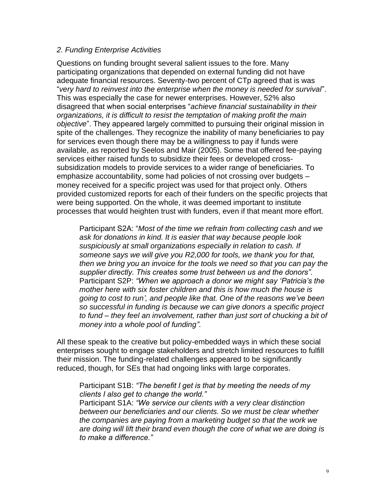#### *2. Funding Enterprise Activities*

Questions on funding brought several salient issues to the fore. Many participating organizations that depended on external funding did not have adequate financial resources. Seventy-two percent of CTp agreed that is was "*very hard to reinvest into the enterprise when the money is needed for survival*". This was especially the case for newer enterprises. However, 52% also disagreed that when social enterprises "*achieve financial sustainability in their organizations, it is difficult to resist the temptation of making profit the main objective*". They appeared largely committed to pursuing their original mission in spite of the challenges. They recognize the inability of many beneficiaries to pay for services even though there may be a willingness to pay if funds were available, as reported by Seelos and Mair (2005). Some that offered fee-paying services either raised funds to subsidize their fees or developed crosssubsidization models to provide services to a wider range of beneficiaries. To emphasize accountability, some had policies of not crossing over budgets – money received for a specific project was used for that project only. Others provided customized reports for each of their funders on the specific projects that were being supported. On the whole, it was deemed important to institute processes that would heighten trust with funders, even if that meant more effort.

Participant S2A: "*Most of the time we refrain from collecting cash and we ask for donations in kind. It is easier that way because people look suspiciously at small organizations especially in relation to cash. If someone says we will give you R2,000 for tools, we thank you for that, then we bring you an invoice for the tools we need so that you can pay the supplier directly. This creates some trust between us and the donors".* Participant S2P: *"When we approach a donor we might say 'Patricia's the mother here with six foster children and this is how much the house is going to cost to run', and people like that. One of the reasons we've been so successful in funding is because we can give donors a specific project to fund – they feel an involvement, rather than just sort of chucking a bit of money into a whole pool of funding".*

All these speak to the creative but policy-embedded ways in which these social enterprises sought to engage stakeholders and stretch limited resources to fulfill their mission. The funding-related challenges appeared to be significantly reduced, though, for SEs that had ongoing links with large corporates.

Participant S1B: *"The benefit I get is that by meeting the needs of my clients I also get to change the world."*  Participant S1A: *"We service our clients with a very clear distinction between our beneficiaries and our clients. So we must be clear whether the companies are paying from a marketing budget so that the work we are doing will lift their brand even though the core of what we are doing is to make a difference."*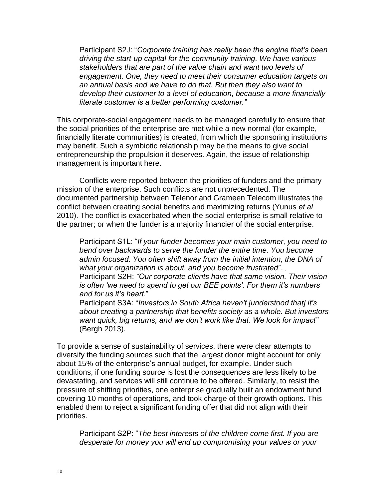Participant S2J: "*Corporate training has really been the engine that's been driving the start-up capital for the community training. We have various stakeholders that are part of the value chain and want two levels of engagement. One, they need to meet their consumer education targets on an annual basis and we have to do that. But then they also want to develop their customer to a level of education, because a more financially literate customer is a better performing customer."*

This corporate-social engagement needs to be managed carefully to ensure that the social priorities of the enterprise are met while a new normal (for example, financially literate communities) is created, from which the sponsoring institutions may benefit. Such a symbiotic relationship may be the means to give social entrepreneurship the propulsion it deserves. Again, the issue of relationship management is important here.

Conflicts were reported between the priorities of funders and the primary mission of the enterprise. Such conflicts are not unprecedented. The documented partnership between Telenor and Grameen Telecom illustrates the conflict between creating social benefits and maximizing returns (Yunus *et al* 2010). The conflict is exacerbated when the social enterprise is small relative to the partner; or when the funder is a majority financier of the social enterprise.

Participant S1L: "*If your funder becomes your main customer, you need to bend over backwards to serve the funder the entire time. You become admin focused. You often shift away from the initial intention, the DNA of what your organization is about, and you become frustrated*". Participant S2H: *"Our corporate clients have that same vision. Their vision is often 'we need to spend to get our BEE points'. For them it's numbers and for us it's heart.*"

Participant S3A: "*Investors in South Africa haven't [understood that] it's about creating a partnership that benefits society as a whole. But investors want quick, big returns, and we don't work like that. We look for impact"*  (Bergh 2013).

To provide a sense of sustainability of services, there were clear attempts to diversify the funding sources such that the largest donor might account for only about 15% of the enterprise's annual budget, for example. Under such conditions, if one funding source is lost the consequences are less likely to be devastating, and services will still continue to be offered. Similarly, to resist the pressure of shifting priorities, one enterprise gradually built an endowment fund covering 10 months of operations, and took charge of their growth options. This enabled them to reject a significant funding offer that did not align with their priorities.

Participant S2P: "*The best interests of the children come first. If you are desperate for money you will end up compromising your values or your*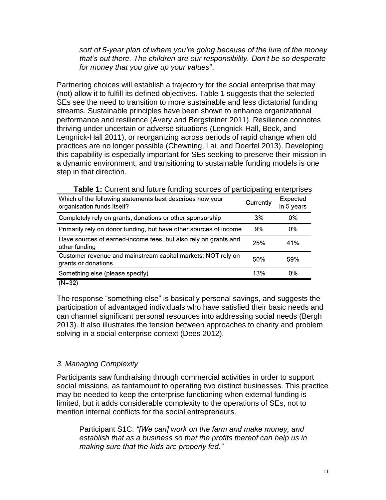*sort of 5-year plan of where you're going because of the lure of the money that's out there. The children are our responsibility. Don't be so desperate for money that you give up your values*".

Partnering choices will establish a trajectory for the social enterprise that may (not) allow it to fulfill its defined objectives. Table 1 suggests that the selected SEs see the need to transition to more sustainable and less dictatorial funding streams. Sustainable principles have been shown to enhance organizational performance and resilience (Avery and Bergsteiner 2011). Resilience connotes thriving under uncertain or adverse situations (Lengnick-Hall, Beck, and Lengnick-Hall 2011), or reorganizing across periods of rapid change when old practices are no longer possible (Chewning, Lai, and Doerfel 2013). Developing this capability is especially important for SEs seeking to preserve their mission in a dynamic environment, and transitioning to sustainable funding models is one step in that direction.

| Which of the following statements best describes how your<br>organisation funds itself? | Currently | Expected<br>in 5 years |
|-----------------------------------------------------------------------------------------|-----------|------------------------|
| Completely rely on grants, donations or other sponsorship                               | 3%        | 0%                     |
| Primarily rely on donor funding, but have other sources of income                       | 9%        | 0%                     |
| Have sources of earned-income fees, but also rely on grants and<br>other funding        | 25%       | 41%                    |
| Customer revenue and mainstream capital markets; NOT rely on<br>grants or donations     | 50%       | 59%                    |
| Something else (please specify)                                                         | 13%       | 0%                     |

**Table 1:** Current and future funding sources of participating enterprises

 $(N=32)$ 

The response "something else" is basically personal savings, and suggests the participation of advantaged individuals who have satisfied their basic needs and can channel significant personal resources into addressing social needs (Bergh 2013). It also illustrates the tension between approaches to charity and problem solving in a social enterprise context (Dees 2012).

## *3. Managing Complexity*

Participants saw fundraising through commercial activities in order to support social missions, as tantamount to operating two distinct businesses. This practice may be needed to keep the enterprise functioning when external funding is limited, but it adds considerable complexity to the operations of SEs, not to mention internal conflicts for the social entrepreneurs.

Participant S1C: *"[We can] work on the farm and make money, and establish that as a business so that the profits thereof can help us in making sure that the kids are properly fed."*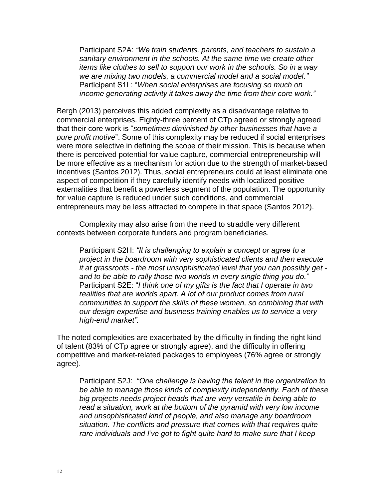Participant S2A: *"We train students, parents, and teachers to sustain a sanitary environment in the schools. At the same time we create other items like clothes to sell to support our work in the schools. So in a way we are mixing two models, a commercial model and a social model."* Participant S1L: "*When social enterprises are focusing so much on income generating activity it takes away the time from their core work."*

Bergh (2013) perceives this added complexity as a disadvantage relative to commercial enterprises. Eighty-three percent of CTp agreed or strongly agreed that their core work is "*sometimes diminished by other businesses that have a pure profit motive*". Some of this complexity may be reduced if social enterprises were more selective in defining the scope of their mission. This is because when there is perceived potential for value capture, commercial entrepreneurship will be more effective as a mechanism for action due to the strength of market-based incentives (Santos 2012). Thus, social entrepreneurs could at least eliminate one aspect of competition if they carefully identify needs with localized positive externalities that benefit a powerless segment of the population. The opportunity for value capture is reduced under such conditions, and commercial entrepreneurs may be less attracted to compete in that space (Santos 2012).

Complexity may also arise from the need to straddle very different contexts between corporate funders and program beneficiaries.

Participant S2H: *"It is challenging to explain a concept or agree to a project in the boardroom with very sophisticated clients and then execute it at grassroots - the most unsophisticated level that you can possibly get and to be able to rally those two worlds in every single thing you do."* Participant S2E: "*I think one of my gifts is the fact that I operate in two realities that are worlds apart. A lot of our product comes from rural communities to support the skills of these women, so combining that with our design expertise and business training enables us to service a very high-end market".*

The noted complexities are exacerbated by the difficulty in finding the right kind of talent (83% of CTp agree or strongly agree), and the difficulty in offering competitive and market-related packages to employees (76% agree or strongly agree).

Participant S2J: *"One challenge is having the talent in the organization to be able to manage those kinds of complexity independently. Each of these big projects needs project heads that are very versatile in being able to read a situation, work at the bottom of the pyramid with very low income and unsophisticated kind of people, and also manage any boardroom situation. The conflicts and pressure that comes with that requires quite rare individuals and I've got to fight quite hard to make sure that I keep*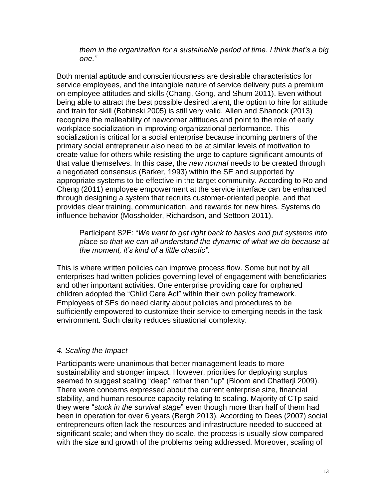*them in the organization for a sustainable period of time. I think that's a big one."*

Both mental aptitude and conscientiousness are desirable characteristics for service employees, and the intangible nature of service delivery puts a premium on employee attitudes and skills (Chang, Gong, and Shum 2011). Even without being able to attract the best possible desired talent, the option to hire for attitude and train for skill (Bobinski 2005) is still very valid. Allen and Shanock (2013) recognize the malleability of newcomer attitudes and point to the role of early workplace socialization in improving organizational performance. This socialization is critical for a social enterprise because incoming partners of the primary social entrepreneur also need to be at similar levels of motivation to create value for others while resisting the urge to capture significant amounts of that value themselves. In this case, the *new normal* needs to be created through a negotiated consensus (Barker, 1993) within the SE and supported by appropriate systems to be effective in the target community. According to Ro and Cheng (2011) employee empowerment at the service interface can be enhanced through designing a system that recruits customer-oriented people, and that provides clear training, communication, and rewards for new hires. Systems do influence behavior (Mossholder, Richardson, and Settoon 2011).

Participant S2E: "*We want to get right back to basics and put systems into place so that we can all understand the dynamic of what we do because at the moment, it's kind of a little chaotic".*

This is where written policies can improve process flow. Some but not by all enterprises had written policies governing level of engagement with beneficiaries and other important activities. One enterprise providing care for orphaned children adopted the "Child Care Act" within their own policy framework. Employees of SEs do need clarity about policies and procedures to be sufficiently empowered to customize their service to emerging needs in the task environment. Such clarity reduces situational complexity.

#### *4. Scaling the Impact*

Participants were unanimous that better management leads to more sustainability and stronger impact. However, priorities for deploying surplus seemed to suggest scaling "deep" rather than "up" (Bloom and Chatterji 2009). There were concerns expressed about the current enterprise size, financial stability, and human resource capacity relating to scaling. Majority of CTp said they were "*stuck in the survival stage*" even though more than half of them had been in operation for over 6 years (Bergh 2013). According to Dees (2007) social entrepreneurs often lack the resources and infrastructure needed to succeed at significant scale; and when they do scale, the process is usually slow compared with the size and growth of the problems being addressed. Moreover, scaling of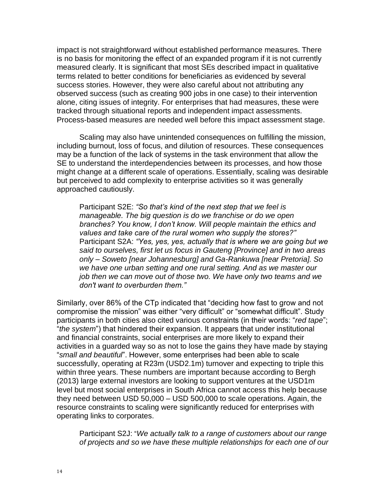impact is not straightforward without established performance measures. There is no basis for monitoring the effect of an expanded program if it is not currently measured clearly. It is significant that most SEs described impact in qualitative terms related to better conditions for beneficiaries as evidenced by several success stories. However, they were also careful about not attributing any observed success (such as creating 900 jobs in one case) to their intervention alone, citing issues of integrity. For enterprises that had measures, these were tracked through situational reports and independent impact assessments. Process-based measures are needed well before this impact assessment stage.

Scaling may also have unintended consequences on fulfilling the mission, including burnout, loss of focus, and dilution of resources. These consequences may be a function of the lack of systems in the task environment that allow the SE to understand the interdependencies between its processes, and how those might change at a different scale of operations. Essentially, scaling was desirable but perceived to add complexity to enterprise activities so it was generally approached cautiously.

Participant S2E: *"So that's kind of the next step that we feel is manageable. The big question is do we franchise or do we open branches? You know, I don't know. Will people maintain the ethics and values and take care of the rural women who supply the stores?"*  Participant S2A: *"Yes, yes, yes, actually that is where we are going but we said to ourselves, first let us focus in Gauteng [Province] and in two areas only – Soweto [near Johannesburg] and Ga-Rankuwa [near Pretoria]. So we have one urban setting and one rural setting. And as we master our job then we can move out of those two. We have only two teams and we don't want to overburden them."*

Similarly, over 86% of the CTp indicated that "deciding how fast to grow and not compromise the mission" was either "very difficult" or "somewhat difficult". Study participants in both cities also cited various constraints (in their words: "*red tape*"; "*the system*") that hindered their expansion. It appears that under institutional and financial constraints, social enterprises are more likely to expand their activities in a guarded way so as not to lose the gains they have made by staying "*small and beautiful*". However, some enterprises had been able to scale successfully, operating at R23m (USD2.1m) turnover and expecting to triple this within three years. These numbers are important because according to Bergh (2013) large external investors are looking to support ventures at the USD1m level but most social enterprises in South Africa cannot access this help because they need between USD 50,000 – USD 500,000 to scale operations. Again, the resource constraints to scaling were significantly reduced for enterprises with operating links to corporates.

Participant S2J: "*We actually talk to a range of customers about our range of projects and so we have these multiple relationships for each one of our*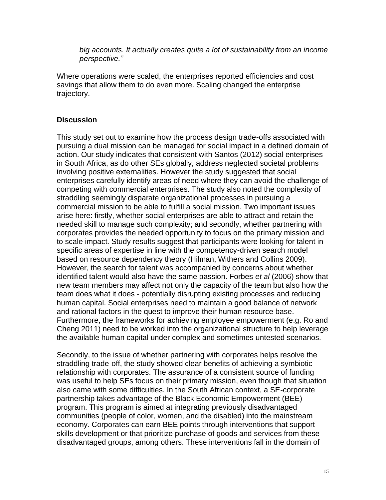*big accounts. It actually creates quite a lot of sustainability from an income perspective."*

Where operations were scaled, the enterprises reported efficiencies and cost savings that allow them to do even more. Scaling changed the enterprise trajectory.

#### **Discussion**

This study set out to examine how the process design trade-offs associated with pursuing a dual mission can be managed for social impact in a defined domain of action. Our study indicates that consistent with Santos (2012) social enterprises in South Africa, as do other SEs globally, address neglected societal problems involving positive externalities. However the study suggested that social enterprises carefully identify areas of need where they can avoid the challenge of competing with commercial enterprises. The study also noted the complexity of straddling seemingly disparate organizational processes in pursuing a commercial mission to be able to fulfill a social mission. Two important issues arise here: firstly, whether social enterprises are able to attract and retain the needed skill to manage such complexity; and secondly, whether partnering with corporates provides the needed opportunity to focus on the primary mission and to scale impact. Study results suggest that participants were looking for talent in specific areas of expertise in line with the competency-driven search model based on resource dependency theory (Hilman, Withers and Collins 2009). However, the search for talent was accompanied by concerns about whether identified talent would also have the same passion. Forbes *et al* (2006) show that new team members may affect not only the capacity of the team but also how the team does what it does - potentially disrupting existing processes and reducing human capital. Social enterprises need to maintain a good balance of network and rational factors in the quest to improve their human resource base. Furthermore, the frameworks for achieving employee empowerment (e.g. Ro and Cheng 2011) need to be worked into the organizational structure to help leverage the available human capital under complex and sometimes untested scenarios.

Secondly, to the issue of whether partnering with corporates helps resolve the straddling trade-off, the study showed clear benefits of achieving a symbiotic relationship with corporates. The assurance of a consistent source of funding was useful to help SEs focus on their primary mission, even though that situation also came with some difficulties. In the South African context, a SE-corporate partnership takes advantage of the Black Economic Empowerment (BEE) program. This program is aimed at integrating previously disadvantaged communities (people of color, women, and the disabled) into the mainstream economy. Corporates can earn BEE points through interventions that support skills development or that prioritize purchase of goods and services from these disadvantaged groups, among others. These interventions fall in the domain of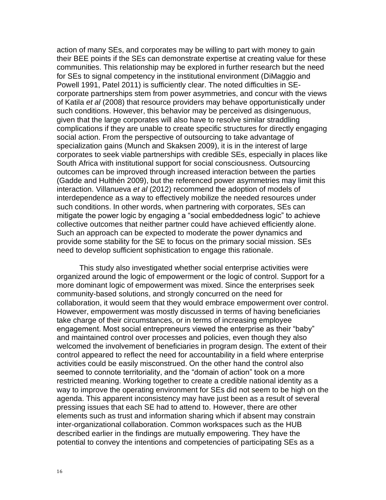action of many SEs, and corporates may be willing to part with money to gain their BEE points if the SEs can demonstrate expertise at creating value for these communities. This relationship may be explored in further research but the need for SEs to signal competency in the institutional environment (DiMaggio and Powell 1991, Patel 2011) is sufficiently clear. The noted difficulties in SEcorporate partnerships stem from power asymmetries, and concur with the views of Katila *et al* (2008) that resource providers may behave opportunistically under such conditions. However, this behavior may be perceived as disingenuous, given that the large corporates will also have to resolve similar straddling complications if they are unable to create specific structures for directly engaging social action. From the perspective of outsourcing to take advantage of specialization gains (Munch and Skaksen 2009), it is in the interest of large corporates to seek viable partnerships with credible SEs, especially in places like South Africa with institutional support for social consciousness. Outsourcing outcomes can be improved through increased interaction between the parties (Gadde and Hulthén 2009), but the referenced power asymmetries may limit this interaction. Villanueva *et al* (2012) recommend the adoption of models of interdependence as a way to effectively mobilize the needed resources under such conditions. In other words, when partnering with corporates, SEs can mitigate the power logic by engaging a "social embeddedness logic" to achieve collective outcomes that neither partner could have achieved efficiently alone. Such an approach can be expected to moderate the power dynamics and provide some stability for the SE to focus on the primary social mission. SEs need to develop sufficient sophistication to engage this rationale.

This study also investigated whether social enterprise activities were organized around the logic of empowerment or the logic of control. Support for a more dominant logic of empowerment was mixed. Since the enterprises seek community-based solutions, and strongly concurred on the need for collaboration, it would seem that they would embrace empowerment over control. However, empowerment was mostly discussed in terms of having beneficiaries take charge of their circumstances, or in terms of increasing employee engagement. Most social entrepreneurs viewed the enterprise as their "baby" and maintained control over processes and policies, even though they also welcomed the involvement of beneficiaries in program design. The extent of their control appeared to reflect the need for accountability in a field where enterprise activities could be easily misconstrued. On the other hand the control also seemed to connote territoriality, and the "domain of action" took on a more restricted meaning. Working together to create a credible national identity as a way to improve the operating environment for SEs did not seem to be high on the agenda. This apparent inconsistency may have just been as a result of several pressing issues that each SE had to attend to. However, there are other elements such as trust and information sharing which if absent may constrain inter-organizational collaboration. Common workspaces such as the HUB described earlier in the findings are mutually empowering. They have the potential to convey the intentions and competencies of participating SEs as a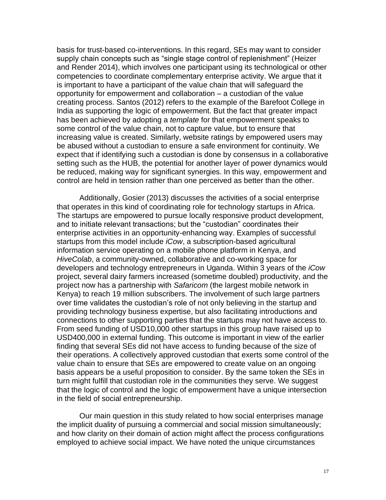basis for trust-based co-interventions. In this regard, SEs may want to consider supply chain concepts such as "single stage control of replenishment" (Heizer and Render 2014), which involves one participant using its technological or other competencies to coordinate complementary enterprise activity. We argue that it is important to have a participant of the value chain that will safeguard the opportunity for empowerment and collaboration – a custodian of the value creating process. Santos (2012) refers to the example of the Barefoot College in India as supporting the logic of empowerment. But the fact that greater impact has been achieved by adopting a *template* for that empowerment speaks to some control of the value chain, not to capture value, but to ensure that increasing value is created. Similarly, website ratings by empowered users may be abused without a custodian to ensure a safe environment for continuity. We expect that if identifying such a custodian is done by consensus in a collaborative setting such as the HUB, the potential for another layer of power dynamics would be reduced, making way for significant synergies. In this way, empowerment and control are held in tension rather than one perceived as better than the other.

Additionally, Gosier (2013) discusses the activities of a social enterprise that operates in this kind of coordinating role for technology startups in Africa. The startups are empowered to pursue locally responsive product development, and to initiate relevant transactions; but the "custodian" coordinates their enterprise activities in an opportunity-enhancing way. Examples of successful startups from this model include *iCow*, a subscription-based agricultural information service operating on a mobile phone platform in Kenya, and *HiveColab*, a community-owned, collaborative and co-working space for developers and technology entrepreneurs in Uganda. Within 3 years of the *iCow* project, several dairy farmers increased (sometime doubled) productivity, and the project now has a partnership with *Safaricom* (the largest mobile network in Kenya) to reach 19 million subscribers. The involvement of such large partners over time validates the custodian's role of not only believing in the startup and providing technology business expertise, but also facilitating introductions and connections to other supporting parties that the startups may not have access to. From seed funding of USD10,000 other startups in this group have raised up to USD400,000 in external funding. This outcome is important in view of the earlier finding that several SEs did not have access to funding because of the size of their operations. A collectively approved custodian that exerts some control of the value chain to ensure that SEs are empowered to create value on an ongoing basis appears be a useful proposition to consider. By the same token the SEs in turn might fulfill that custodian role in the communities they serve. We suggest that the logic of control and the logic of empowerment have a unique intersection in the field of social entrepreneurship.

Our main question in this study related to how social enterprises manage the implicit duality of pursuing a commercial and social mission simultaneously; and how clarity on their domain of action might affect the process configurations employed to achieve social impact. We have noted the unique circumstances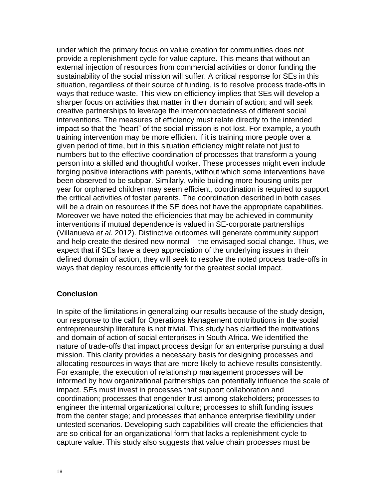under which the primary focus on value creation for communities does not provide a replenishment cycle for value capture. This means that without an external injection of resources from commercial activities or donor funding the sustainability of the social mission will suffer. A critical response for SEs in this situation, regardless of their source of funding, is to resolve process trade-offs in ways that reduce waste. This view on efficiency implies that SEs will develop a sharper focus on activities that matter in their domain of action; and will seek creative partnerships to leverage the interconnectedness of different social interventions. The measures of efficiency must relate directly to the intended impact so that the "heart" of the social mission is not lost. For example, a youth training intervention may be more efficient if it is training more people over a given period of time, but in this situation efficiency might relate not just to numbers but to the effective coordination of processes that transform a young person into a skilled and thoughtful worker. These processes might even include forging positive interactions with parents, without which some interventions have been observed to be subpar. Similarly, while building more housing units per year for orphaned children may seem efficient, coordination is required to support the critical activities of foster parents. The coordination described in both cases will be a drain on resources if the SE does not have the appropriate capabilities. Moreover we have noted the efficiencies that may be achieved in community interventions if mutual dependence is valued in SE-corporate partnerships (Villanueva *et al.* 2012). Distinctive outcomes will generate community support and help create the desired new normal – the envisaged social change. Thus, we expect that if SEs have a deep appreciation of the underlying issues in their defined domain of action, they will seek to resolve the noted process trade-offs in ways that deploy resources efficiently for the greatest social impact.

#### **Conclusion**

In spite of the limitations in generalizing our results because of the study design, our response to the call for Operations Management contributions in the social entrepreneurship literature is not trivial. This study has clarified the motivations and domain of action of social enterprises in South Africa. We identified the nature of trade-offs that impact process design for an enterprise pursuing a dual mission. This clarity provides a necessary basis for designing processes and allocating resources in ways that are more likely to achieve results consistently. For example, the execution of relationship management processes will be informed by how organizational partnerships can potentially influence the scale of impact. SEs must invest in processes that support collaboration and coordination; processes that engender trust among stakeholders; processes to engineer the internal organizational culture; processes to shift funding issues from the center stage; and processes that enhance enterprise flexibility under untested scenarios. Developing such capabilities will create the efficiencies that are so critical for an organizational form that lacks a replenishment cycle to capture value. This study also suggests that value chain processes must be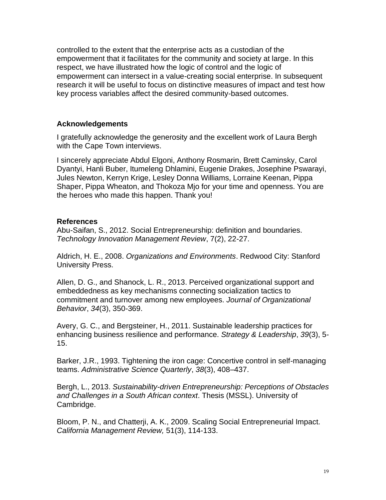controlled to the extent that the enterprise acts as a custodian of the empowerment that it facilitates for the community and society at large. In this respect, we have illustrated how the logic of control and the logic of empowerment can intersect in a value-creating social enterprise. In subsequent research it will be useful to focus on distinctive measures of impact and test how key process variables affect the desired community-based outcomes.

#### **Acknowledgements**

I gratefully acknowledge the generosity and the excellent work of Laura Bergh with the Cape Town interviews.

I sincerely appreciate Abdul Elgoni, Anthony Rosmarin, Brett Caminsky, Carol Dyantyi, Hanli Buber, Itumeleng Dhlamini, Eugenie Drakes, Josephine Pswarayi, Jules Newton, Kerryn Krige, Lesley Donna Williams, Lorraine Keenan, Pippa Shaper, Pippa Wheaton, and Thokoza Mjo for your time and openness. You are the heroes who made this happen. Thank you!

#### **References**

Abu-Saifan, S., 2012. Social Entrepreneurship: definition and boundaries. *Technology Innovation Management Review*, 7(2), 22-27.

Aldrich, H. E., 2008. *Organizations and Environments*. Redwood City: Stanford University Press.

Allen, D. G., and Shanock, L. R., 2013. Perceived organizational support and embeddedness as key mechanisms connecting socialization tactics to commitment and turnover among new employees. *Journal of Organizational Behavior*, *34*(3), 350-369.

Avery, G. C., and Bergsteiner, H., 2011. Sustainable leadership practices for enhancing business resilience and performance. *Strategy & Leadership*, *39*(3), 5- 15.

Barker, J.R., 1993. Tightening the iron cage: Concertive control in self-managing teams. *Administrative Science Quarterly*, *38*(3), 408–437.

Bergh, L., 2013. *Sustainability-driven Entrepreneurship: Perceptions of Obstacles and Challenges in a South African context*. Thesis (MSSL). University of Cambridge.

Bloom, P. N., and Chatterji, A. K., 2009. Scaling Social Entrepreneurial Impact. *California Management Review,* 51(3), 114-133.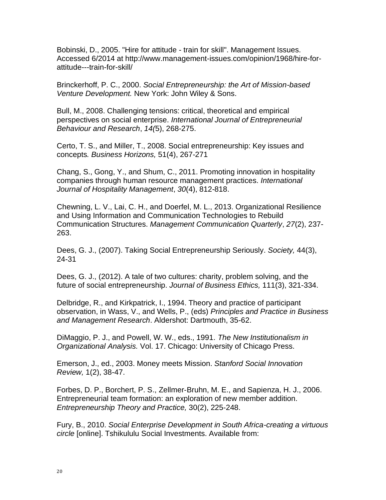Bobinski, D., 2005. "Hire for attitude - train for skill". Management Issues. Accessed 6/2014 at http://www.management-issues.com/opinion/1968/hire-forattitude---train-for-skill/

Brinckerhoff, P. C., 2000. *Social Entrepreneurship: the Art of Mission-based Venture Development.* New York: John Wiley & Sons.

Bull, M., 2008. Challenging tensions: critical, theoretical and empirical perspectives on social enterprise. *International Journal of Entrepreneurial Behaviour and Research*, *14(*5), 268-275.

Certo, T. S., and Miller, T., 2008. Social entrepreneurship: Key issues and concepts*. Business Horizons,* 51(4), 267-271

Chang, S., Gong, Y., and Shum, C., 2011. Promoting innovation in hospitality companies through human resource management practices. *International Journal of Hospitality Management*, *30*(4), 812-818.

Chewning, L. V., Lai, C. H., and Doerfel, M. L., 2013. Organizational Resilience and Using Information and Communication Technologies to Rebuild Communication Structures. *Management Communication Quarterly*, *27*(2), 237- 263.

Dees, G. J., (2007). Taking Social Entrepreneurship Seriously. *Society,* 44(3), 24-31

Dees, G. J., (2012). A tale of two cultures: charity, problem solving, and the future of social entrepreneurship. *Journal of Business Ethics,* 111(3), 321-334.

Delbridge, R., and Kirkpatrick, I., 1994. Theory and practice of participant observation, in Wass, V., and Wells, P., (eds) *Principles and Practice in Business and Management Research*. Aldershot: Dartmouth, 35-62.

DiMaggio, P. J., and Powell, W. W., eds., 1991. *The New Institutionalism in Organizational Analysis.* Vol. 17. Chicago: University of Chicago Press.

Emerson, J., ed., 2003. Money meets Mission. *Stanford Social Innovation Review,* 1(2), 38-47.

Forbes, D. P., Borchert, P. S., Zellmer‐Bruhn, M. E., and Sapienza, H. J., 2006. Entrepreneurial team formation: an exploration of new member addition. *Entrepreneurship Theory and Practice,* 30(2), 225-248.

Fury, B., 2010. *Social Enterprise Development in South Africa-creating a virtuous circle* [online]. Tshikululu Social Investments. Available from: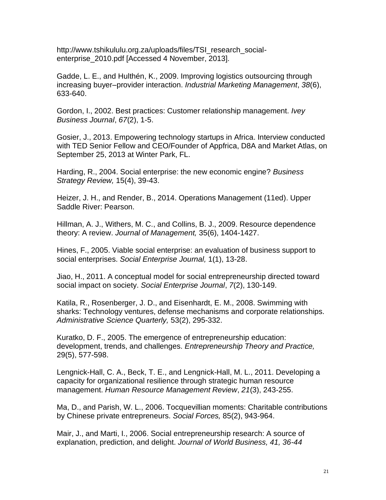http://www.tshikululu.org.za/uploads/files/TSI\_research\_socialenterprise\_2010.pdf [Accessed 4 November, 2013].

Gadde, L. E., and Hulthén, K., 2009. Improving logistics outsourcing through increasing buyer–provider interaction. *Industrial Marketing Management*, *38*(6), 633-640.

Gordon, I., 2002. Best practices: Customer relationship management. *Ivey Business Journal*, *67*(2), 1-5.

Gosier, J., 2013. Empowering technology startups in Africa. Interview conducted with TED Senior Fellow and CEO/Founder of Appfrica, D8A and Market Atlas, on September 25, 2013 at Winter Park, FL.

Harding, R., 2004. Social enterprise: the new economic engine? *Business Strategy Review,* 15(4), 39-43.

Heizer, J. H., and Render, B., 2014. Operations Management (11ed). Upper Saddle River: Pearson.

Hillman, A. J., Withers, M. C., and Collins, B. J., 2009. Resource dependence theory: A review. *Journal of Management,* 35(6), 1404-1427.

Hines, F., 2005. Viable social enterprise: an evaluation of business support to social enterprises. *Social Enterprise Journal,* 1(1), 13-28.

Jiao, H., 2011. A conceptual model for social entrepreneurship directed toward social impact on society. *Social Enterprise Journal*, *7*(2), 130-149.

Katila, R., Rosenberger, J. D., and Eisenhardt, E. M., 2008. Swimming with sharks: Technology ventures, defense mechanisms and corporate relationships. *Administrative Science Quarterly,* 53(2), 295-332.

Kuratko, D. F., 2005. The emergence of entrepreneurship education: development, trends, and challenges. *Entrepreneurship Theory and Practice,* 29(5), 577-598.

Lengnick-Hall, C. A., Beck, T. E., and Lengnick-Hall, M. L., 2011. Developing a capacity for organizational resilience through strategic human resource management. *Human Resource Management Review*, *21*(3), 243-255.

Ma, D., and Parish, W. L., 2006. Tocquevillian moments: Charitable contributions by Chinese private entrepreneurs. *Social Forces,* 85(2), 943-964.

Mair, J., and Marti, I., 2006. Social entrepreneurship research: A source of explanation, prediction, and delight. *Journal of World Business, 41, 36-44*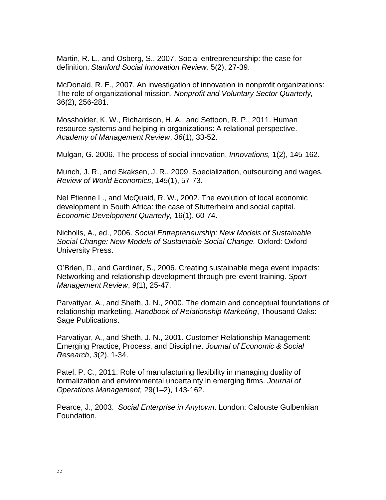Martin, R. L., and Osberg, S., 2007. Social entrepreneurship: the case for definition. *Stanford Social Innovation Review,* 5(2), 27-39.

McDonald, R. E., 2007. An investigation of innovation in nonprofit organizations: The role of organizational mission. *Nonprofit and Voluntary Sector Quarterly,* 36(2), 256-281.

Mossholder, K. W., Richardson, H. A., and Settoon, R. P., 2011. Human resource systems and helping in organizations: A relational perspective. *Academy of Management Review*, *36*(1), 33-52.

Mulgan, G. 2006. The process of social innovation. *Innovations,* 1(2), 145-162.

Munch, J. R., and Skaksen, J. R., 2009. Specialization, outsourcing and wages. *Review of World Economics*, *145*(1), 57-73.

Nel Etienne L., and McQuaid, R. W., 2002. The evolution of local economic development in South Africa: the case of Stutterheim and social capital. *Economic Development Quarterly,* 16(1), 60-74.

Nicholls, A., ed., 2006. *Social Entrepreneurship: New Models of Sustainable Social Change: New Models of Sustainable Social Change.* Oxford: Oxford University Press.

O'Brien, D., and Gardiner, S., 2006. Creating sustainable mega event impacts: Networking and relationship development through pre-event training. *Sport Management Review*, *9*(1), 25-47.

Parvatiyar, A., and Sheth, J. N., 2000. The domain and conceptual foundations of relationship marketing. *Handbook of Relationship Marketing*, Thousand Oaks: Sage Publications.

Parvatiyar, A., and Sheth, J. N., 2001. Customer Relationship Management: Emerging Practice, Process, and Discipline. *Journal of Economic & Social Research*, *3*(2), 1-34.

Patel, P. C., 2011. Role of manufacturing flexibility in managing duality of formalization and environmental uncertainty in emerging firms. *Journal of Operations Management,* 29(1–2), 143-162.

Pearce, J., 2003. *Social Enterprise in Anytown*. London: Calouste Gulbenkian Foundation.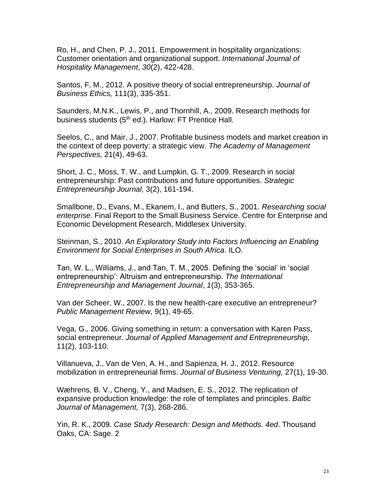Ro, H., and Chen, P. J., 2011. Empowerment in hospitality organizations: Customer orientation and organizational support. *International Journal of Hospitality Management*, *30*(2), 422-428.

Santos, F. M., 2012. A positive theory of social entrepreneurship. *Journal of Business Ethics,* 111(3), 335-351.

Saunders, M.N.K., Lewis, P., and Thornhill, A., 2009. Research methods for business students (5<sup>th</sup> ed.). Harlow: FT Prentice Hall.

Seelos, C., and Mair, J., 2007. Profitable business models and market creation in the context of deep poverty: a strategic view. *The Academy of Management Perspectives,* 21(4), 49-63.

Short, J. C., Moss, T. W., and Lumpkin, G. T., 2009. Research in social entrepreneurship: Past contributions and future opportunities. *Strategic Entrepreneurship Journal,* 3(2), 161-194.

Smallbone, D., Evans, M., Ekanem, I., and Butters, S., 2001. *Researching social enterprise*. Final Report to the Small Business Service. Centre for Enterprise and Economic Development Research, Middlesex University.

Steinman, S., 2010. *An Exploratory Study into Factors Influencing an Enabling Environment for Social Enterprises in South Africa*. ILO.

Tan, W. L., Williams, J., and Tan, T. M., 2005. Defining the 'social' in 'social entrepreneurship': Altruism and entrepreneurship. *The International Entrepreneurship and Management Journal*, *1*(3), 353-365.

Van der Scheer, W., 2007. Is the new health-care executive an entrepreneur? *Public Management Review,* 9(1), 49-65.

Vega, G., 2006. Giving something in return: a conversation with Karen Pass, social entrepreneur. *Journal of Applied Management and Entrepreneurship,*  11(2), 103-110.

Villanueva, J., Van de Ven, A. H., and Sapienza, H. J., 2012. Resource mobilization in entrepreneurial firms. *Journal of Business Venturing,* 27(1), 19-30.

Wæhrens, B. V., Cheng, Y., and Madsen, E. S., 2012. The replication of expansive production knowledge: the role of templates and principles. *Baltic Journal of Management,* 7(3), 268-286.

Yin, R. K., 2009. *Case Study Research: Design and Methods. 4ed*. Thousand Oaks, CA: Sage. 2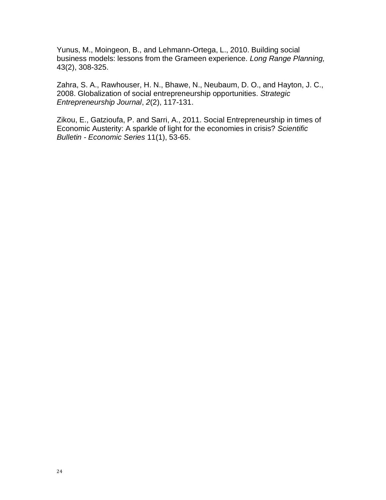Yunus, M., Moingeon, B., and Lehmann-Ortega, L., 2010. Building social business models: lessons from the Grameen experience. *Long Range Planning,* 43(2), 308-325.

Zahra, S. A., Rawhouser, H. N., Bhawe, N., Neubaum, D. O., and Hayton, J. C., 2008. Globalization of social entrepreneurship opportunities. *Strategic Entrepreneurship Journal*, *2*(2), 117-131.

Zikou, E., Gatzioufa, P. and Sarri, A., 2011. Social Entrepreneurship in times of Economic Austerity: A sparkle of light for the economies in crisis? *Scientific Bulletin - Economic Series* 11(1), 53-65.